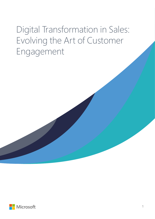# Digital Transformation in Sales: Evolving the Art of Customer Engagement

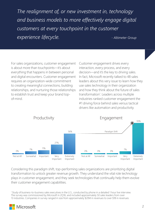and business models to more effectively engage digital **produces and the interpret** customers at every touchpoint in the customer *customer*  $\lim_{t\to\infty}$ *The realignment of, or new investment in, technology*  **experience lifecycle.**  $\blacksquare$ 

For sales organizations, customer engagement is about more than touchpoints—it's about everything that happens in between personal and digital encounters. Customer engagement requires an organization-wide commitment to creating meaningful connections, building relationships, and nurturing those relationships to establish trust and keep your brand topof-mind.

Customer engagement drives every interaction, every process, and every decision—and it's the key to driving sales. In fact, Microsoft recently talked to 48 sales leaders about this very issue to learn how they use sales technology in their organization and how they think about the future of sales transformation<sup>1</sup>. Leaders across multiple industries ranked customer engagement the #1 driving force behind sales versus tactical drivers like automation and productivity.



Considering this paradigm shift, top-performing sales organizations are prioritizing digital transformation to unlock greater revenue growth. They understand the vital role technology plays in customer engagement, and they seek technologies that continually help them evolve their customer engagement capabilities.

1 Study of business-to-business sales executives in the U.S., conducted by phone in a detailed 1 hour live interview. The survey was commissioned by Microsoft in 2Q16, and included approximately 50 sales leaders from over 13 industries. Companies in survey ranged in size from approximately \$20M in revenues to over \$1B in revenues.

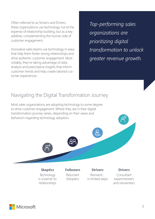Often referred to as Strivers and Drivers, these organizations use technology not at the expense of relationship building, but as a key additive, complementing the human side of customer engagement.

Innovative sales teams use technology in ways that help them foster strong relationships and drive authentic customer engagement. Most notably, they're taking advantage of data analysis and prescriptive insights that inform customer trends and help create tailored customer experiences.

*Top-performing sales organizations are prioritizing digital transformation to unlock greater revenue growth.*

## Navigating the Digital Transformation Journey

Most sales organizations are adopting technology to some degree to drive customer engagement. Where they are in their digital transformation journey varies, depending on their views and behaviors regarding technology adoption.



**Skeptics Technology** is a barrier to relationships

**Followers**

Reluctant Adopters

Reinvent... in limited steps **Drivers**

Consultant experimenters and reinventers

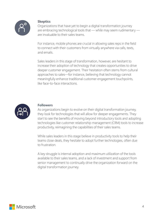

### **Skeptics**

Organizations that have yet to begin a digital transformation journey are embracing technological tools that — while may seem rudimentary are invaluable to their sales teams.

For instance, mobile phones are crucial in allowing sales reps in the field to connect with their customers from virtually anywhere via calls, texts, and emails.

Sales leaders in this stage of transformation, however, are hesitant to increase their adoption of technology that creates opportunities to drive deeper customer engagement. Their hesitation often stems from cultural approaches to sales—for instance, believing that technology cannot meaningfully enhance traditional customer engagement touchpoints, like face-to-face interactions.



#### **Followers**

As organizations begin to evolve on their digital transformation journey, they look for technologies that will allow for deeper engagements. They start to see the benefits of moving beyond introductory tools and adopting technologies like customer relationship management (CRM) tools to increase productivity, reimagining the capabilities of their sales teams.

While sales leaders in this stage believe in productivity tools to help their teams close deals, they hesitate to adopt further technologies, often due to frustration.

A key struggle is internal adoption and maximum utilization of the tools available to their sales teams, and a lack of investment and support from senior management to continually drive the organization forward on the digital transformation journey.

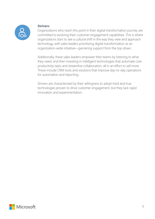

#### **Strivers**

Organizations who reach this point in their digital transformation journey are committed to evolving their customer engagement capabilities. This is where organizations start to see a cultural shift in the way they view and approach technology, with sales leaders prioritizing digital transformation as an organization-wide initiative—garnering support from the top-down.

Additionally, these sales leaders empower their teams by listening to what they need, and then investing in intelligent technologies that automate core productivity tasks and streamline collaboration, all in an effort to sell more. These include CRM tools and solutions that improve day-to-day operations for automation and reporting.

Strivers are characterized by their willingness to adopt tried and true technologies proven to drive customer engagement, but they lack rapid innovation and experimentation.

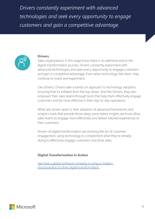*Drivers constantly experiment with advanced technologies and seek every opportunity to engage customers and gain a competitive advantage.*



#### **Drivers**

Sales organizations in this stage know there is no definitive end to the digital transformation journey. Drivers constantly experiment with advanced technologies and seek every opportunity to engage customers and gain a competitive advantage. Even when technology fails them, they continue to invest and experiment.

Like Strivers, Drivers take a hands-on approach to technology adoption, ensuring that it's initiated from the top-down. And like Strivers, they also empower their sales teams through tools that help them effectively engage customers and be more effective in their day-to-day operations.

What sets drivers apart is their adoption of advanced frameworks and analytics tools that provide those deep, prescriptive insights we know allow sales teams to engage more effectively and deliver tailored experiences to their customers.

Drivers of digital transformation are evolving the art of customer engagement, using technology to complement what they're already doing to effectively engage customers and drive sales.

#### **Digital Transformation in Action**

See how a global software company is using a modern [cloud solution to drive digital transformation.](https://customers.microsoft.com/en-US/story/global-software-company-manages-substantial-growth-and)